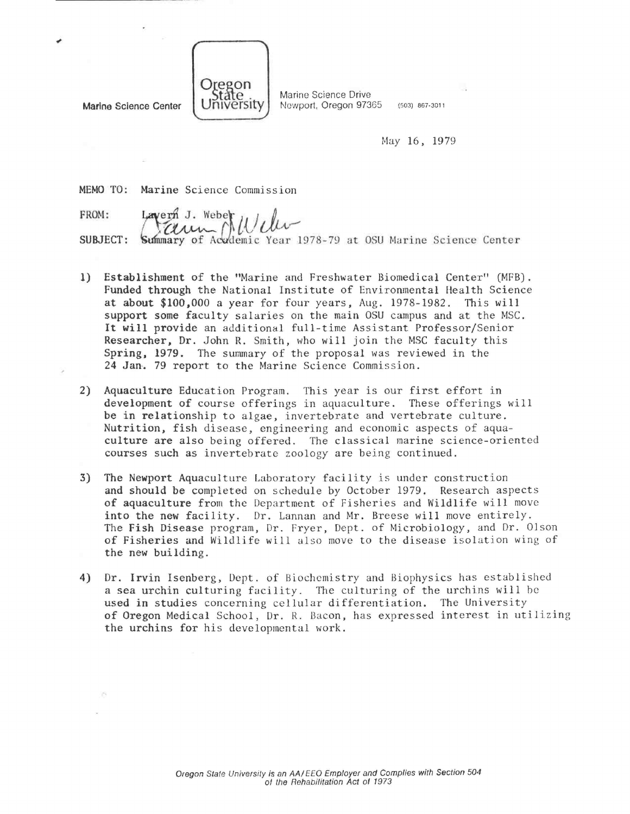

Marine Science Center

State<br>University Marine Science Drive<br>University Newport, Oregon 97365 (503) 867-3011 Marine Science Drive

May 16, 1979

## MEMO TO: Marine Science Commission

Lavern J. Webel SUBJECT: FROM: Summary of Acvdemic Year 1978-79 at OSU Marine Science Center

- 1) Establishment of the "Marine and Freshwater Biomedical Center" (MFB). Funded through the National Institute of Environmental Health Science at about \$100,000 a year for four years, Aug. 1978-1982. This will support some faculty salaries on the main OSU campus and at the MSC. It will provide an additional full-time Assistant Professor/Senior Researcher, Dr. John R. Smith, who will join the MSC faculty this Spring, 1979. The summary of the proposal was reviewed in the 24 Jam. 79 report to the Marine Science Commission.
- 2) Aquaculture Education Program. This year is our first effort in development of course offerings in aquaculture. These offerings will be in relationship to algae, invertebrate and vertebrate culture. Nutrition, fish disease, engineering and economic aspects of aquaculture are also being offered. The classical marine science-oriented courses such as invertebrate zoology are being continued.
- 3) The Newport Aquaculture Laboratory facility is under construction and should be completed on schedule by October 1979. Research aspects of aquaculture from the Department of Fisheries and Wildlife will move into the new facility. Dr. Lannan and Mr. Breese will move entirely. The Fish Disease program, Dr. Fryer, Dept. of Microbiology, and Dr. Olson of Fisheries and Wildlife will also move to the disease isolation wing of the new building.
- 4) Dr. Irvin Isenberg, Dept. of Biochemistry and Biophysics has established a sea urchin culturing facility. The culturing of the urchins will he used in studies concerning cellular differentiation. The University of Oregon Medical School, Dr. R. Bacon, has expressed interest in utilizing the urchins for his developmental work.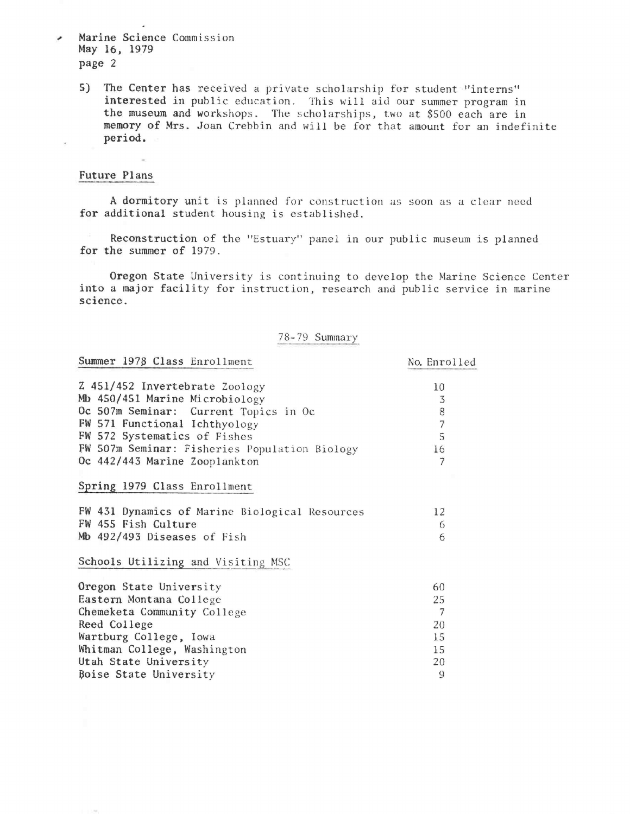- Marine Science Commission May 16, 1979 page 2
	- 5) The Center has received a private scholarship for student "interns" interested in public education. This will aid our summer program in the museum and workshops. The scholarships, two at \$500 each are in memory of Mrs. Joan Crebbin and will be for that amount for an indefinite period.

## Future Plans

A dormitory unit is planned for construction as soon as a clear need for additional student housing is established.

Reconstruction of the "Estuary" panel in our public museum is planned for the summer of 1979.

Oregon State University is continuing to develop the Marine Science Center into a major facility for instruction, research and public service in marine science.

## 78-79 Summary

| Summer 1978 Class Enrollment                   | No. Enrolled   |
|------------------------------------------------|----------------|
| Z 451/452 Invertebrate Zoology                 | 10             |
| Mb 450/451 Marine Microbiology                 | 3              |
| Oc 507m Seminar: Current Topics in Oc          | 8              |
| FW 571 Functional Ichthyology                  | $\overline{7}$ |
| FW 572 Systematics of Fishes                   | 5              |
| FW 507m Seminar: Fisheries Population Biology  | 16             |
| Oc 442/443 Marine Zooplankton                  | 7              |
|                                                |                |
| Spring 1979 Class Enrollment                   |                |
|                                                |                |
| FW 431 Dynamics of Marine Biological Resources | 12             |
| FW 455 Fish Culture                            | 6              |
| Mb 492/493 Diseases of Fish                    | 6              |
|                                                |                |
| Schools Utilizing and Visiting MSC             |                |
|                                                |                |
| Oregon State University                        | 60             |
| Eastern Montana College                        | 25             |
| Chemeketa Community College                    | 7              |
| Reed College                                   | 20             |
| Wartburg College, Iowa                         | 15             |
| Whitman College, Washington                    | 15             |
| Utah State University                          | 20             |
| <b>Boise State University</b>                  | 9              |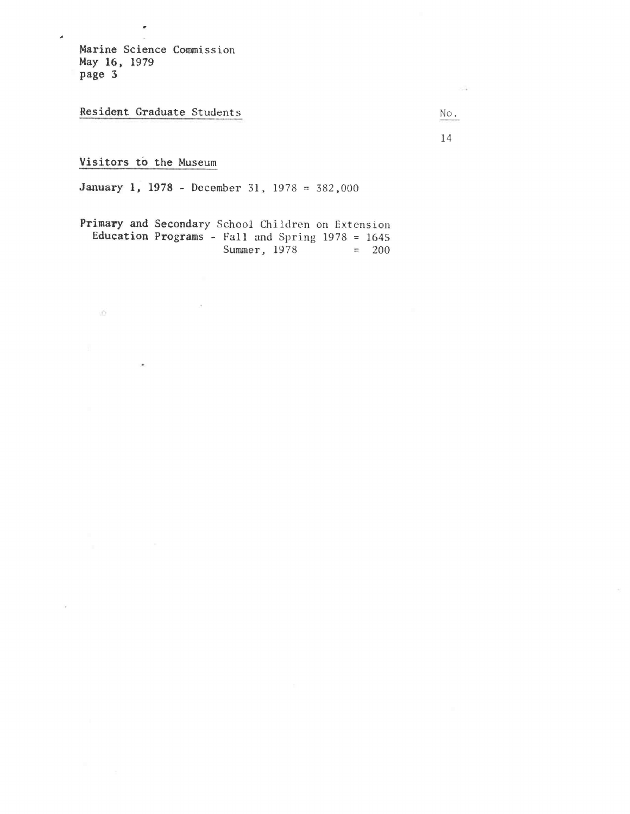Marine Science Commission May 16, 1979 page 3

٠

 $\overline{\phantom{a}}$ 

Resident Graduate Students No.

 $\sim 10$ 

14

Visitors to the Museum

 $\Omega$ 

January 1, 1978 - December 31, 1978 = 382,000

 $\bar{a}$ 

Primary and Secondary School Children on Extension Education Programs - Fall and Spring  $1978 = 1645$ <br>Summer,  $1978 = 200$ Summer,  $1978$